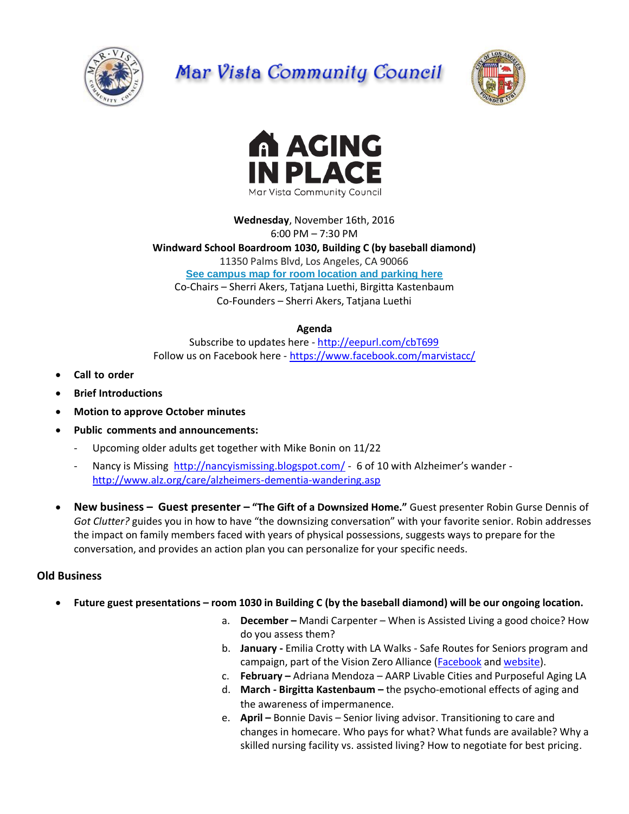

## Mar Vista Community Council





**Wednesday**, November 16th, 2016 6:00 PM – 7:30 PM **Windward School Boardroom 1030, Building C (by baseball diamond)** 11350 Palms Blvd, Los Angeles, CA 90066 **[See campus map for room location and parking here](https://windwardschool.myschoolapp.com/ftpimages/176/download/download_1671327.pdf)** Co-Chairs – Sherri Akers, Tatjana Luethi, Birgitta Kastenbaum Co-Founders – Sherri Akers, Tatjana Luethi

## **Agenda**

Subscribe to updates here - <http://eepurl.com/cbT699> Follow us on Facebook here - <https://www.facebook.com/marvistacc/>

- **Call to order**
- **Brief Introductions**
- **Motion to approve October minutes**
- **Public comments and announcements:** 
	- Upcoming older adults get together with Mike Bonin on 11/22
	- Nancy is Missing <http://nancyismissing.blogspot.com/> 6 of 10 with Alzheimer's wander <http://www.alz.org/care/alzheimers-dementia-wandering.asp>
- **New business – Guest presenter – "The Gift of a Downsized Home."** Guest presenter Robin Gurse Dennis of *Got Clutter?* guides you in how to have "the downsizing conversation" with your favorite senior. Robin addresses the impact on family members faced with years of physical possessions, suggests ways to prepare for the conversation, and provides an action plan you can personalize for your specific needs.

## **Old Business**

- **Future guest presentations – room 1030 in Building C (by the baseball diamond) will be our ongoing location.**
	- a. **December –** Mandi Carpenter When is Assisted Living a good choice? How do you assess them?
	- b. **January -** Emilia Crotty with LA Walks Safe Routes for Seniors program and campaign, part of the Vision Zero Alliance [\(Facebook](https://www.facebook.com/LAvisionzero/photos) an[d website\)](http://www.visionzeroalliance.org/).
	- c. **February –** Adriana Mendoza AARP Livable Cities and Purposeful Aging LA
	- d. **March - Birgitta Kastenbaum –** the psycho-emotional effects of aging and the awareness of impermanence.
	- e. **April –** Bonnie Davis Senior living advisor. Transitioning to care and changes in homecare. Who pays for what? What funds are available? Why a skilled nursing facility vs. assisted living? How to negotiate for best pricing.